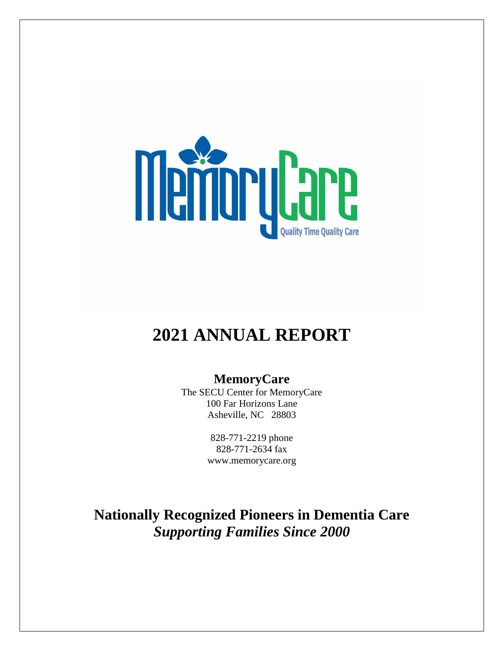

# **2021 ANNUAL REPORT**

## **MemoryCare**

The SECU Center for MemoryCare 100 Far Horizons Lane Asheville, NC 28803

> 828-771-2219 phone 828-771-2634 fax www.memorycare.org

**Nationally Recognized Pioneers in Dementia Care** *Supporting Families Since 2000*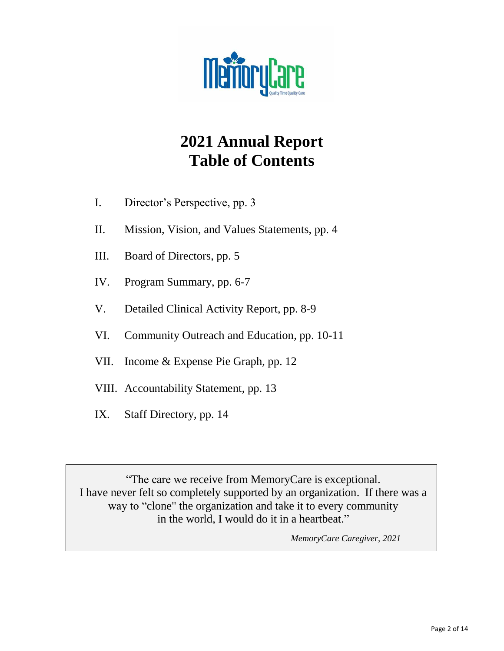

# **2021 Annual Report Table of Contents**

- I. Director's Perspective, pp. 3
- II. Mission, Vision, and Values Statements, pp. 4
- III. Board of Directors, pp. 5
- IV. Program Summary, pp. 6-7
- V. Detailed Clinical Activity Report, pp. 8-9
- VI. Community Outreach and Education, pp. 10-11
- VII. Income & Expense Pie Graph, pp. 12
- VIII. Accountability Statement, pp. 13
- IX. Staff Directory, pp. 14

"The care we receive from MemoryCare is exceptional. I have never felt so completely supported by an organization. If there was a way to "clone" the organization and take it to every community in the world, I would do it in a heartbeat."

 *MemoryCare Caregiver, 2021*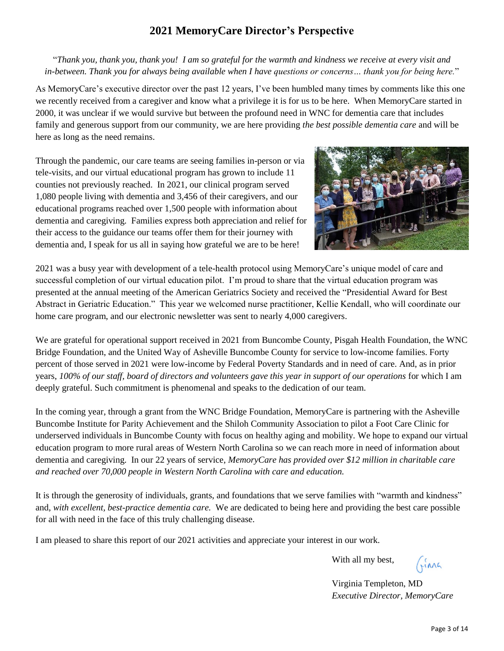## **2021 MemoryCare Director's Perspective**

"*Thank you, thank you, thank you! I am so grateful for the warmth and kindness we receive at every visit and in-between. Thank you for always being available when I have questions or concerns… thank you for being here.*"

As MemoryCare's executive director over the past 12 years, I've been humbled many times by comments like this one we recently received from a caregiver and know what a privilege it is for us to be here. When MemoryCare started in 2000, it was unclear if we would survive but between the profound need in WNC for dementia care that includes family and generous support from our community, we are here providing *the best possible dementia care* and will be here as long as the need remains.

Through the pandemic, our care teams are seeing families in-person or via tele-visits, and our virtual educational program has grown to include 11 counties not previously reached. In 2021, our clinical program served 1,080 people living with dementia and 3,456 of their caregivers, and our educational programs reached over 1,500 people with information about dementia and caregiving. Families express both appreciation and relief for their access to the guidance our teams offer them for their journey with dementia and, I speak for us all in saying how grateful we are to be here!



2021 was a busy year with development of a tele-health protocol using MemoryCare's unique model of care and successful completion of our virtual education pilot. I'm proud to share that the virtual education program was presented at the annual meeting of the American Geriatrics Society and received the "Presidential Award for Best Abstract in Geriatric Education." This year we welcomed nurse practitioner, Kellie Kendall, who will coordinate our home care program, and our electronic newsletter was sent to nearly 4,000 caregivers.

We are grateful for operational support received in 2021 from Buncombe County, Pisgah Health Foundation, the WNC Bridge Foundation, and the United Way of Asheville Buncombe County for service to low-income families. Forty percent of those served in 2021 were low-income by Federal Poverty Standards and in need of care. And, as in prior years, *100% of our staff, board of directors and volunteers gave this year in support of our operations* for which I am deeply grateful. Such commitment is phenomenal and speaks to the dedication of our team.

In the coming year, through a grant from the WNC Bridge Foundation, MemoryCare is partnering with the Asheville Buncombe Institute for Parity Achievement and the Shiloh Community Association to pilot a Foot Care Clinic for underserved individuals in Buncombe County with focus on healthy aging and mobility. We hope to expand our virtual education program to more rural areas of Western North Carolina so we can reach more in need of information about dementia and caregiving. In our 22 years of service, *MemoryCare has provided over \$12 million in charitable care and reached over 70,000 people in Western North Carolina with care and education.* 

It is through the generosity of individuals, grants, and foundations that we serve families with "warmth and kindness" and, *with excellent, best-practice dementia care.* We are dedicated to being here and providing the best care possible for all with need in the face of this truly challenging disease.

I am pleased to share this report of our 2021 activities and appreciate your interest in our work.

With all my best,

 $(\hat{m})$ 

Virginia Templeton, MD *Executive Director, MemoryCare*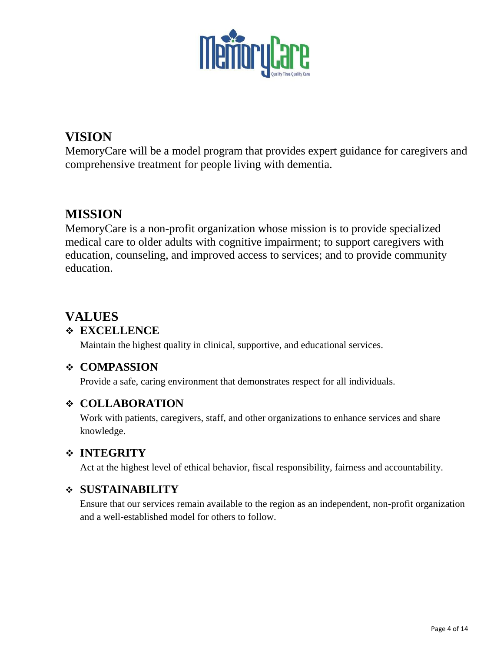

# **VISION**

MemoryCare will be a model program that provides expert guidance for caregivers and comprehensive treatment for people living with dementia.

# **MISSION**

MemoryCare is a non-profit organization whose mission is to provide specialized medical care to older adults with cognitive impairment; to support caregivers with education, counseling, and improved access to services; and to provide community education.

# **VALUES**

## ❖ **EXCELLENCE**

Maintain the highest quality in clinical, supportive, and educational services.

## ❖ **COMPASSION**

Provide a safe, caring environment that demonstrates respect for all individuals.

## ❖ **COLLABORATION**

Work with patients, caregivers, staff, and other organizations to enhance services and share knowledge.

## ❖ **INTEGRITY**

Act at the highest level of ethical behavior, fiscal responsibility, fairness and accountability.

## ❖ **SUSTAINABILITY**

Ensure that our services remain available to the region as an independent, non-profit organization and a well-established model for others to follow.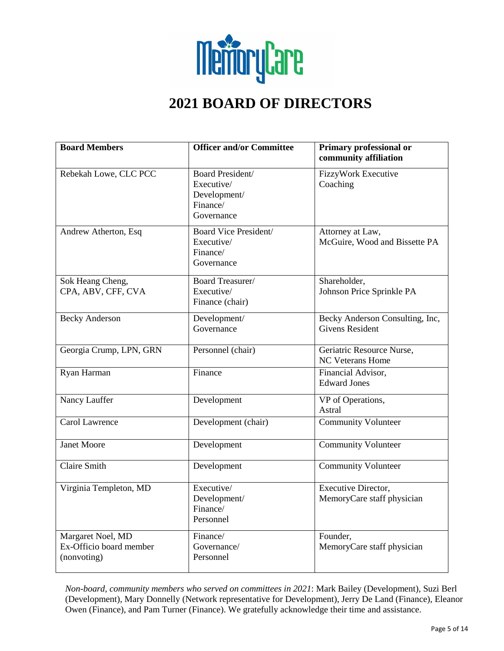

# **2021 BOARD OF DIRECTORS**

| <b>Board Members</b>                                        | <b>Officer and/or Committee</b>                                          | Primary professional or<br>community affiliation          |
|-------------------------------------------------------------|--------------------------------------------------------------------------|-----------------------------------------------------------|
| Rebekah Lowe, CLC PCC                                       | Board President/<br>Executive/<br>Development/<br>Finance/<br>Governance | FizzyWork Executive<br>Coaching                           |
| Andrew Atherton, Esq                                        | Board Vice President/<br>Executive/<br>Finance/<br>Governance            | Attorney at Law,<br>McGuire, Wood and Bissette PA         |
| Sok Heang Cheng,<br>CPA, ABV, CFF, CVA                      | <b>Board Treasurer/</b><br>Executive/<br>Finance (chair)                 | Shareholder,<br>Johnson Price Sprinkle PA                 |
| <b>Becky Anderson</b>                                       | Development/<br>Governance                                               | Becky Anderson Consulting, Inc,<br><b>Givens Resident</b> |
| Georgia Crump, LPN, GRN                                     | Personnel (chair)                                                        | Geriatric Resource Nurse,<br><b>NC Veterans Home</b>      |
| Ryan Harman                                                 | Finance                                                                  | Financial Advisor,<br><b>Edward Jones</b>                 |
| Nancy Lauffer                                               | Development                                                              | VP of Operations,<br>Astral                               |
| Carol Lawrence                                              | Development (chair)                                                      | <b>Community Volunteer</b>                                |
| <b>Janet Moore</b>                                          | Development                                                              | Community Volunteer                                       |
| <b>Claire Smith</b>                                         | Development                                                              | <b>Community Volunteer</b>                                |
| Virginia Templeton, MD                                      | Executive/<br>Development/<br>Finance/<br>Personnel                      | Executive Director,<br>MemoryCare staff physician         |
| Margaret Noel, MD<br>Ex-Officio board member<br>(nonvoting) | Finance/<br>Governance/<br>Personnel                                     | Founder,<br>MemoryCare staff physician                    |

*Non-board, community members who served on committees in 2021*: Mark Bailey (Development), Suzi Berl (Development), Mary Donnelly (Network representative for Development), Jerry De Land (Finance), Eleanor Owen (Finance), and Pam Turner (Finance). We gratefully acknowledge their time and assistance.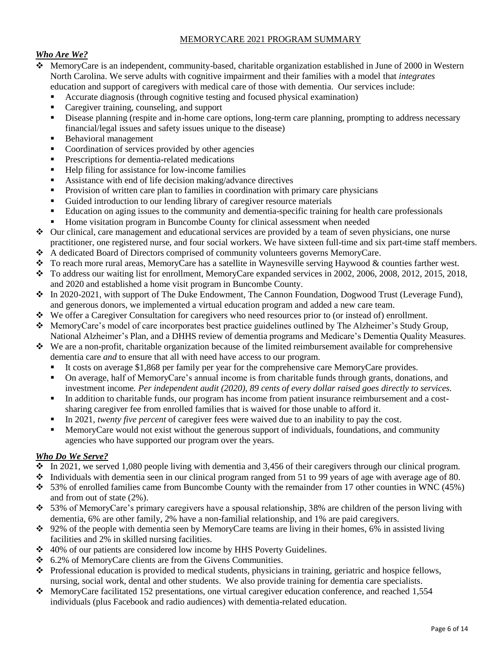#### MEMORYCARE 2021 PROGRAM SUMMARY

#### *Who Are We?*

- ❖ MemoryCare is an independent, community-based, charitable organization established in June of 2000 in Western North Carolina. We serve adults with cognitive impairment and their families with a model that *integrates* education and support of caregivers with medical care of those with dementia. Our services include:
	- Accurate diagnosis (through cognitive testing and focused physical examination)
	- Caregiver training, counseling, and support
	- **•** Disease planning (respite and in-home care options, long-term care planning, prompting to address necessary financial/legal issues and safety issues unique to the disease)
	- Behavioral management
	- Coordination of services provided by other agencies
	- **•** Prescriptions for dementia-related medications
	- Help filing for assistance for low-income families
	- Assistance with end of life decision making/advance directives
	- Provision of written care plan to families in coordination with primary care physicians
	- Guided introduction to our lending library of caregiver resource materials
	- Education on aging issues to the community and dementia-specific training for health care professionals
	- Home visitation program in Buncombe County for clinical assessment when needed
- ❖ Our clinical, care management and educational services are provided by a team of seven physicians, one nurse practitioner, one registered nurse, and four social workers. We have sixteen full-time and six part-time staff members.
- ❖ A dedicated Board of Directors comprised of community volunteers governs MemoryCare.
- ❖ To reach more rural areas, MemoryCare has a satellite in Waynesville serving Haywood & counties farther west.
- ❖ To address our waiting list for enrollment, MemoryCare expanded services in 2002, 2006, 2008, 2012, 2015, 2018, and 2020 and established a home visit program in Buncombe County.
- ❖ In 2020-2021, with support of The Duke Endowment, The Cannon Foundation, Dogwood Trust (Leverage Fund), and generous donors, we implemented a virtual education program and added a new care team.
- ❖ We offer a Caregiver Consultation for caregivers who need resources prior to (or instead of) enrollment.
- ❖ MemoryCare's model of care incorporates best practice guidelines outlined by The Alzheimer's Study Group, National Alzheimer's Plan, and a DHHS review of dementia programs and Medicare's Dementia Quality Measures.
- ❖ We are a non-profit, charitable organization because of the limited reimbursement available for comprehensive dementia care *and* to ensure that all with need have access to our program.
	- It costs on average \$1,868 per family per year for the comprehensive care MemoryCare provides.
	- On average, half of MemoryCare's annual income is from charitable funds through grants, donations, and investment income*. Per independent audit (2020), 89 cents of every dollar raised goes directly to services.*
	- In addition to charitable funds, our program has income from patient insurance reimbursement and a costsharing caregiver fee from enrolled families that is waived for those unable to afford it.
	- In 2021*, twenty five percent* of caregiver fees were waived due to an inability to pay the cost.
	- **EXECUTE:** MemoryCare would not exist without the generous support of individuals, foundations, and community agencies who have supported our program over the years.

#### *Who Do We Serve?*

- $\cdot$  In 2021, we served 1,080 people living with dementia and 3,456 of their caregivers through our clinical program.
- ❖ Individuals with dementia seen in our clinical program ranged from 51 to 99 years of age with average age of 80.
- ❖ 53% of enrolled families came from Buncombe County with the remainder from 17 other counties in WNC (45%) and from out of state (2%).
- $\div$  53% of MemoryCare's primary caregivers have a spousal relationship, 38% are children of the person living with dementia, 6% are other family, 2% have a non-familial relationship, and 1% are paid caregivers.
- ❖ 92% of the people with dementia seen by MemoryCare teams are living in their homes, 6% in assisted living facilities and 2% in skilled nursing facilities.
- ❖ 40% of our patients are considered low income by HHS Poverty Guidelines.
- ❖ 6.2% of MemoryCare clients are from the Givens Communities.
- ❖ Professional education is provided to medical students, physicians in training, geriatric and hospice fellows, nursing, social work, dental and other students. We also provide training for dementia care specialists.
- ❖ MemoryCare facilitated 152 presentations, one virtual caregiver education conference, and reached 1,554 individuals (plus Facebook and radio audiences) with dementia-related education.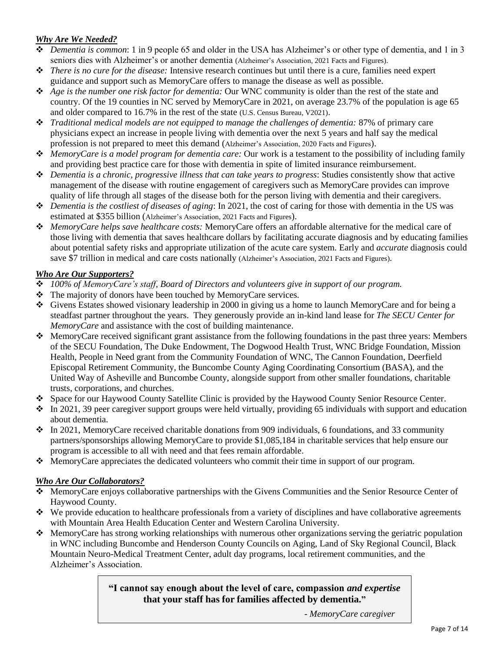#### *Why Are We Needed?*

- ❖ *Dementia is common*: 1 in 9 people 65 and older in the USA has Alzheimer's or other type of dementia, and 1 in 3 seniors dies with Alzheimer's or another dementia (Alzheimer's Association, 2021 Facts and Figures).
- ❖ *There is no cure for the disease:* Intensive research continues but until there is a cure, families need expert guidance and support such as MemoryCare offers to manage the disease as well as possible.
- ❖ *Age is the number one risk factor for dementia:* Our WNC community is older than the rest of the state and country. Of the 19 counties in NC served by MemoryCare in 2021, on average 23.7% of the population is age 65 and older compared to 16.7% in the rest of the state (U.S. Census Bureau, V2021).
- ❖ *Traditional medical models are not equipped to manage the challenges of dementia:* 87% of primary care physicians expect an increase in people living with dementia over the next 5 years and half say the medical profession is not prepared to meet this demand (Alzheimer's Association, 2020 Facts and Figures).
- ❖ *MemoryCare is a model program for dementia care:* Our work is a testament to the possibility of including family and providing best practice care for those with dementia in spite of limited insurance reimbursement.
- ❖ *Dementia is a chronic, progressive illness that can take years to progress*: Studies consistently show that active management of the disease with routine engagement of caregivers such as MemoryCare provides can improve quality of life through all stages of the disease both for the person living with dementia and their caregivers.
- ❖ *Dementia is the costliest of diseases of aging*: In 2021, the cost of caring for those with dementia in the US was estimated at \$355 billion (Alzheimer's Association, 2021 Facts and Figures).
- ❖ *MemoryCare helps save healthcare costs:* MemoryCare offers an affordable alternative for the medical care of those living with dementia that saves healthcare dollars by facilitating accurate diagnosis and by educating families about potential safety risks and appropriate utilization of the acute care system. Early and *accurate* diagnosis could save \$7 trillion in medical and care costs nationally (Alzheimer's Association, 2021 Facts and Figures).

#### *Who Are Our Supporters?*

- ❖ *100% of MemoryCare's staff, Board of Directors and volunteers give in support of our program.*
- ❖ The majority of donors have been touched by MemoryCare services.
- ❖ Givens Estates showed visionary leadership in 2000 in giving us a home to launch MemoryCare and for being a steadfast partner throughout the years. They generously provide an in-kind land lease for *The SECU Center for MemoryCare* and assistance with the cost of building maintenance.
- ❖ MemoryCare received significant grant assistance from the following foundations in the past three years: Members of the SECU Foundation, The Duke Endowment, The Dogwood Health Trust, WNC Bridge Foundation, Mission Health, People in Need grant from the Community Foundation of WNC, The Cannon Foundation, Deerfield Episcopal Retirement Community, the Buncombe County Aging Coordinating Consortium (BASA), and the United Way of Asheville and Buncombe County, alongside support from other smaller foundations, charitable trusts, corporations, and churches.
- ❖ Space for our Haywood County Satellite Clinic is provided by the Haywood County Senior Resource Center.
- ❖ In 2021, 39 peer caregiver support groups were held virtually, providing 65 individuals with support and education about dementia.
- ❖ In 2021, MemoryCare received charitable donations from 909 individuals, 6 foundations, and 33 community partners/sponsorships allowing MemoryCare to provide \$1,085,184 in charitable services that help ensure our program is accessible to all with need and that fees remain affordable.
- ❖ MemoryCare appreciates the dedicated volunteers who commit their time in support of our program.

#### *Who Are Our Collaborators?*

- ❖ MemoryCare enjoys collaborative partnerships with the Givens Communities and the Senior Resource Center of Haywood County.
- ❖ We provide education to healthcare professionals from a variety of disciplines and have collaborative agreements with Mountain Area Health Education Center and Western Carolina University.
- ❖ MemoryCare has strong working relationships with numerous other organizations serving the geriatric population in WNC including Buncombe and Henderson County Councils on Aging, Land of Sky Regional Council, Black Mountain Neuro-Medical Treatment Center, adult day programs, local retirement communities, and the Alzheimer's Association.

#### **"I cannot say enough about the level of care, compassion** *and expertise* **that your staff has for families affected by dementia."**

 *- MemoryCare caregiver*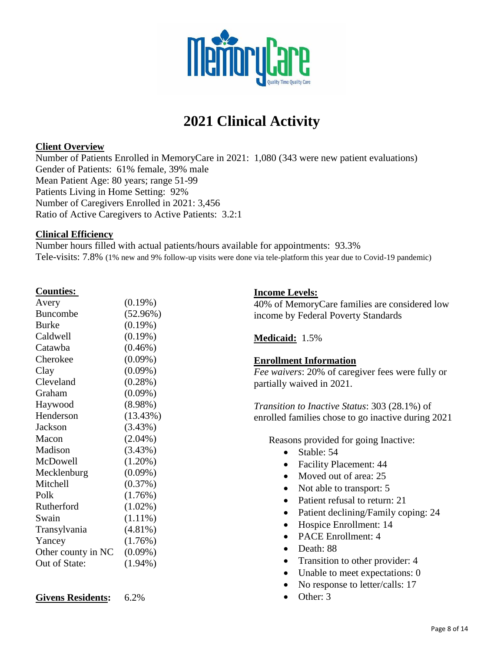

# **2021 Clinical Activity**

#### **Client Overview**

Number of Patients Enrolled in MemoryCare in 2021: 1,080 (343 were new patient evaluations) Gender of Patients: 61% female, 39% male Mean Patient Age: 80 years; range 51-99 Patients Living in Home Setting: 92% Number of Caregivers Enrolled in 2021: 3,456 Ratio of Active Caregivers to Active Patients: 3.2:1

#### **Clinical Efficiency**

Number hours filled with actual patients/hours available for appointments: 93.3% Tele-visits: 7.8% (1% new and 9% follow-up visits were done via tele-platform this year due to Covid-19 pandemic)

#### **Counties:**

| $(0.19\%)$ |
|------------|
| (52.96%)   |
| $(0.19\%)$ |
| $(0.19\%)$ |
| $(0.46\%)$ |
| $(0.09\%)$ |
| $(0.09\%)$ |
| $(0.28\%)$ |
| $(0.09\%)$ |
| $(8.98\%)$ |
| (13.43%)   |
| $(3.43\%)$ |
| $(2.04\%)$ |
| (3.43%)    |
| $(1.20\%)$ |
| $(0.09\%)$ |
| (0.37%)    |
| (1.76%)    |
| $(1.02\%)$ |
| $(1.11\%)$ |
| $(4.81\%)$ |
| $(1.76\%)$ |
| $(0.09\%)$ |
| $(1.94\%)$ |
|            |

### **Income Levels:**

40% of MemoryCare families are considered low income by Federal Poverty Standards

#### **Medicaid:** 1.5%

#### **Enrollment Information**

*Fee waivers*: 20% of caregiver fees were fully or partially waived in 2021.

*Transition to Inactive Status*: 303 (28.1%) of enrolled families chose to go inactive during 2021

Reasons provided for going Inactive:

- Stable: 54
- Facility Placement: 44
- Moved out of area: 25
- Not able to transport: 5
- Patient refusal to return: 21
- Patient declining/Family coping: 24
- Hospice Enrollment: 14
- PACE Enrollment: 4
- Death: 88
- Transition to other provider: 4
- Unable to meet expectations: 0
- No response to letter/calls: 17
- Other: 3

| <b>Givens Residents:</b> | 6.2% |
|--------------------------|------|
|                          |      |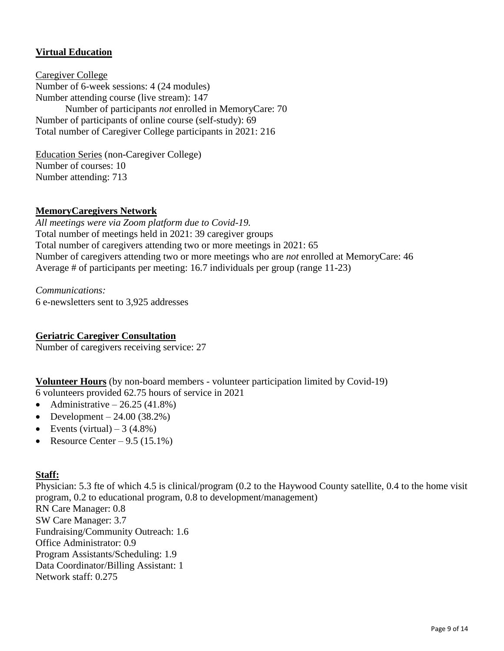#### **Virtual Education**

Caregiver College Number of 6-week sessions: 4 (24 modules) Number attending course (live stream): 147 Number of participants *not* enrolled in MemoryCare: 70 Number of participants of online course (self-study): 69 Total number of Caregiver College participants in 2021: 216

Education Series (non-Caregiver College) Number of courses: 10 Number attending: 713

#### **MemoryCaregivers Network**

*All meetings were via Zoom platform due to Covid-19.* Total number of meetings held in 2021: 39 caregiver groups Total number of caregivers attending two or more meetings in 2021: 65 Number of caregivers attending two or more meetings who are *not* enrolled at MemoryCare: 46 Average # of participants per meeting: 16.7 individuals per group (range 11-23)

*Communications:* 6 e-newsletters sent to 3,925 addresses

#### **Geriatric Caregiver Consultation**

Number of caregivers receiving service: 27

**Volunteer Hours** (by non-board members - volunteer participation limited by Covid-19) 6 volunteers provided 62.75 hours of service in 2021

- Administrative  $-26.25(41.8%)$
- Development  $24.00 (38.2%)$
- Events (virtual)  $3(4.8\%)$
- Resource Center  $9.5(15.1\%)$

#### **Staff:**

Physician: 5.3 fte of which 4.5 is clinical/program (0.2 to the Haywood County satellite, 0.4 to the home visit program, 0.2 to educational program, 0.8 to development/management) RN Care Manager: 0.8 SW Care Manager: 3.7 Fundraising/Community Outreach: 1.6 Office Administrator: 0.9 Program Assistants/Scheduling: 1.9 Data Coordinator/Billing Assistant: 1 Network staff: 0.275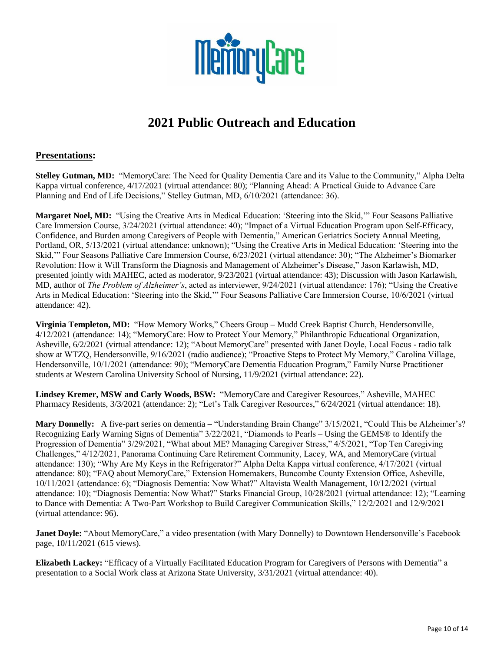

# **2021 Public Outreach and Education**

#### **Presentations:**

**Stelley Gutman, MD:** "MemoryCare: The Need for Quality Dementia Care and its Value to the Community," Alpha Delta Kappa virtual conference, 4/17/2021 (virtual attendance: 80); "Planning Ahead: A Practical Guide to Advance Care Planning and End of Life Decisions," Stelley Gutman, MD, 6/10/2021 (attendance: 36).

**Margaret Noel, MD:** "Using the Creative Arts in Medical Education: 'Steering into the Skid,'" Four Seasons Palliative Care Immersion Course, 3/24/2021 (virtual attendance: 40); "Impact of a Virtual Education Program upon Self-Efficacy, Confidence, and Burden among Caregivers of People with Dementia," American Geriatrics Society Annual Meeting, Portland, OR, 5/13/2021 (virtual attendance: unknown); "Using the Creative Arts in Medical Education: 'Steering into the Skid,'" Four Seasons Palliative Care Immersion Course, 6/23/2021 (virtual attendance: 30); "The Alzheimer's Biomarker Revolution: How it Will Transform the Diagnosis and Management of Alzheimer's Disease," Jason Karlawish, MD, presented jointly with MAHEC, acted as moderator, 9/23/2021 (virtual attendance: 43); Discussion with Jason Karlawish, MD, author of *The Problem of Alzheimer's*, acted as interviewer, 9/24/2021 (virtual attendance: 176); "Using the Creative Arts in Medical Education: 'Steering into the Skid,'" Four Seasons Palliative Care Immersion Course, 10/6/2021 (virtual attendance: 42).

**Virginia Templeton, MD:** "How Memory Works," Cheers Group – Mudd Creek Baptist Church, Hendersonville, 4/12/2021 (attendance: 14); "MemoryCare: How to Protect Your Memory," Philanthropic Educational Organization, Asheville, 6/2/2021 (virtual attendance: 12); "About MemoryCare" presented with Janet Doyle, Local Focus - radio talk show at WTZQ, Hendersonville, 9/16/2021 (radio audience); "Proactive Steps to Protect My Memory," Carolina Village, Hendersonville, 10/1/2021 (attendance: 90); "MemoryCare Dementia Education Program," Family Nurse Practitioner students at Western Carolina University School of Nursing, 11/9/2021 (virtual attendance: 22).

**Lindsey Kremer, MSW and Carly Woods, BSW:** "MemoryCare and Caregiver Resources," Asheville, MAHEC Pharmacy Residents, 3/3/2021 (attendance: 2); "Let's Talk Caregiver Resources," 6/24/2021 (virtual attendance: 18).

**Mary Donnelly:** A five-part series on dementia **–** "Understanding Brain Change" 3/15/2021, "Could This be Alzheimer's? Recognizing Early Warning Signs of Dementia" 3/22/2021, "Diamonds to Pearls – Using the GEMS® to Identify the Progression of Dementia" 3/29/2021, "What about ME? Managing Caregiver Stress," 4/5/2021, "Top Ten Caregiving Challenges," 4/12/2021, Panorama Continuing Care Retirement Community, Lacey, WA, and MemoryCare (virtual attendance: 130); "Why Are My Keys in the Refrigerator?" Alpha Delta Kappa virtual conference, 4/17/2021 (virtual attendance: 80); "FAQ about MemoryCare," Extension Homemakers, Buncombe County Extension Office, Asheville, 10/11/2021 (attendance: 6); "Diagnosis Dementia: Now What?" Altavista Wealth Management, 10/12/2021 (virtual attendance: 10); "Diagnosis Dementia: Now What?" Starks Financial Group, 10/28/2021 (virtual attendance: 12); "Learning to Dance with Dementia: A Two-Part Workshop to Build Caregiver Communication Skills," 12/2/2021 and 12/9/2021 (virtual attendance: 96).

**Janet Doyle:** "About MemoryCare," a video presentation (with Mary Donnelly) to Downtown Hendersonville's Facebook page, 10/11/2021 (615 views).

**Elizabeth Lackey:** "Efficacy of a Virtually Facilitated Education Program for Caregivers of Persons with Dementia" a presentation to a Social Work class at Arizona State University, 3/31/2021 (virtual attendance: 40).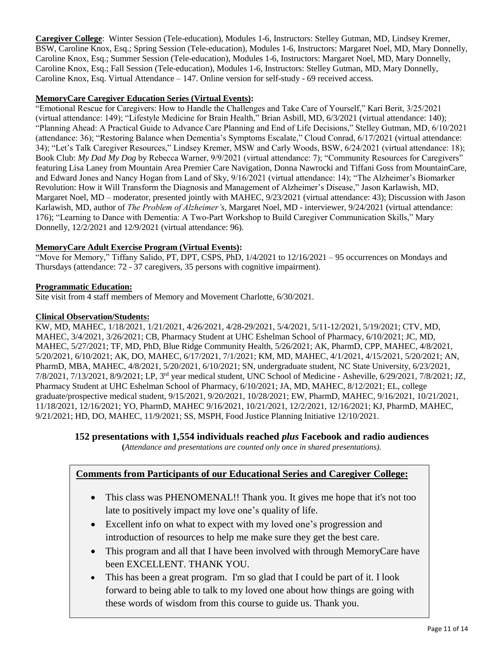**Caregiver College**: Winter Session (Tele-education), Modules 1-6, Instructors: Stelley Gutman, MD, Lindsey Kremer, BSW, Caroline Knox, Esq.; Spring Session (Tele-education), Modules 1-6, Instructors: Margaret Noel, MD, Mary Donnelly, Caroline Knox, Esq.; Summer Session (Tele-education), Modules 1-6, Instructors: Margaret Noel, MD, Mary Donnelly, Caroline Knox, Esq.; Fall Session (Tele-education), Modules 1-6, Instructors: Stelley Gutman, MD, Mary Donnelly, Caroline Knox, Esq. Virtual Attendance – 147. Online version for self-study - 69 received access.

#### **MemoryCare Caregiver Education Series (Virtual Events):**

"Emotional Rescue for Caregivers: How to Handle the Challenges and Take Care of Yourself," Kari Berit, 3/25/2021 (virtual attendance: 149); "Lifestyle Medicine for Brain Health," Brian Asbill, MD, 6/3/2021 (virtual attendance: 140); "Planning Ahead: A Practical Guide to Advance Care Planning and End of Life Decisions," Stelley Gutman, MD, 6/10/2021 (attendance: 36); "Restoring Balance when Dementia's Symptoms Escalate," Cloud Conrad, 6/17/2021 (virtual attendance: 34); "Let's Talk Caregiver Resources," Lindsey Kremer, MSW and Carly Woods, BSW, 6/24/2021 (virtual attendance: 18); Book Club: *My Dad My Dog* by Rebecca Warner, 9/9/2021 (virtual attendance: 7); "Community Resources for Caregivers" featuring Lisa Laney from Mountain Area Premier Care Navigation, Donna Nawrocki and Tiffani Goss from MountainCare, and Edward Jones and Nancy Hogan from Land of Sky, 9/16/2021 (virtual attendance: 14); "The Alzheimer's Biomarker Revolution: How it Will Transform the Diagnosis and Management of Alzheimer's Disease," Jason Karlawish, MD, Margaret Noel, MD – moderator, presented jointly with MAHEC, 9/23/2021 (virtual attendance: 43); Discussion with Jason Karlawish, MD, author of *The Problem of Alzheimer's*, Margaret Noel, MD - interviewer, 9/24/2021 (virtual attendance: 176); "Learning to Dance with Dementia: A Two-Part Workshop to Build Caregiver Communication Skills," Mary Donnelly, 12/2/2021 and 12/9/2021 (virtual attendance: 96).

#### **MemoryCare Adult Exercise Program (Virtual Events):**

"Move for Memory," Tiffany Salido, PT, DPT, CSPS, PhD, 1/4/2021 to 12/16/2021 – 95 occurrences on Mondays and Thursdays (attendance: 72 - 37 caregivers, 35 persons with cognitive impairment).

#### **Programmatic Education:**

Site visit from 4 staff members of Memory and Movement Charlotte, 6/30/2021.

#### **Clinical Observation/Students:**

KW, MD, MAHEC, 1/18/2021, 1/21/2021, 4/26/2021, 4/28-29/2021, 5/4/2021, 5/11-12/2021, 5/19/2021; CTV, MD, MAHEC, 3/4/2021, 3/26/2021; CB, Pharmacy Student at UHC Eshelman School of Pharmacy, 6/10/2021; JC, MD, MAHEC, 5/27/2021; TF, MD, PhD, Blue Ridge Community Health, 5/26/2021; AK, PharmD, CPP, MAHEC, 4/8/2021, 5/20/2021, 6/10/2021; AK, DO, MAHEC, 6/17/2021, 7/1/2021; KM, MD, MAHEC, 4/1/2021, 4/15/2021, 5/20/2021; AN, PharmD, MBA, MAHEC, 4/8/2021, 5/20/2021, 6/10/2021; SN, undergraduate student, NC State University, 6/23/2021, 7/8/2021, 7/13/2021, 8/9/2021; LP, 3rd year medical student, UNC School of Medicine - Asheville, 6/29/2021, 7/8/2021; JZ, Pharmacy Student at UHC Eshelman School of Pharmacy, 6/10/2021; JA, MD, MAHEC, 8/12/2021; EL, college graduate/prospective medical student, 9/15/2021, 9/20/2021, 10/28/2021; EW, PharmD, MAHEC, 9/16/2021, 10/21/2021, 11/18/2021, 12/16/2021; YO, PharmD, MAHEC 9/16/2021, 10/21/2021, 12/2/2021, 12/16/2021; KJ, PharmD, MAHEC, 9/21/2021; HD, DO, MAHEC, 11/9/2021; SS, MSPH, Food Justice Planning Initiative 12/10/2021.

#### **152 presentations with 1,554 individuals reached** *plus* **Facebook and radio audiences**

**(***Attendance and presentations are counted only once in shared presentations).*

#### **Comments from Participants of our Educational Series and Caregiver College:**

- This class was PHENOMENAL!! Thank you. It gives me hope that it's not too late to positively impact my love one's quality of life.
- Excellent info on what to expect with my loved one's progression and introduction of resources to help me make sure they get the best care.
- This program and all that I have been involved with through MemoryCare have been EXCELLENT. THANK YOU.
- This has been a great program. I'm so glad that I could be part of it. I look forward to being able to talk to my loved one about how things are going with these words of wisdom from this course to guide us. Thank you.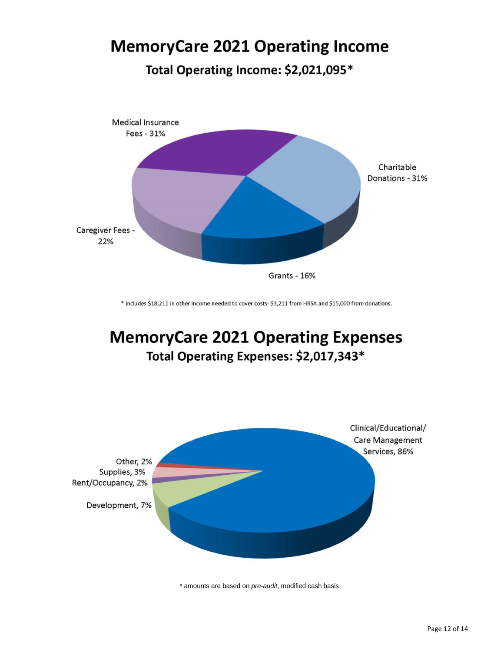# **MemoryCare 2021 Operating Income**

Total Operating Income: \$2,021,095\*



\* Includes \$18,211 in other income needed to cover costs- \$3,211 from HRSA and \$15,000 from donations.

# **MemoryCare 2021 Operating Expenses** Total Operating Expenses: \$2,017,343\*



\* amounts are based on *pre-audit*, modified cash basis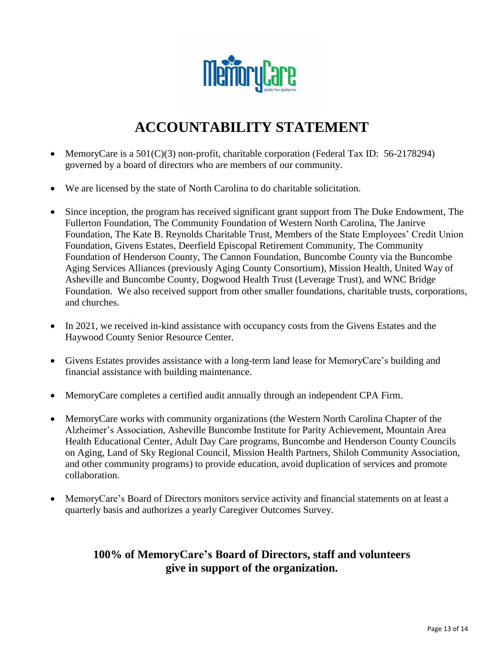

# **ACCOUNTABILITY STATEMENT**

- MemoryCare is a 501(C)(3) non-profit, charitable corporation (Federal Tax ID: 56-2178294) governed by a board of directors who are members of our community.
- We are licensed by the state of North Carolina to do charitable solicitation.
- Since inception, the program has received significant grant support from The Duke Endowment, The Fullerton Foundation, The Community Foundation of Western North Carolina, The Janirve Foundation, The Kate B. Reynolds Charitable Trust, Members of the State Employees' Credit Union Foundation, Givens Estates, Deerfield Episcopal Retirement Community, The Community Foundation of Henderson County, The Cannon Foundation, Buncombe County via the Buncombe Aging Services Alliances (previously Aging County Consortium), Mission Health, United Way of Asheville and Buncombe County, Dogwood Health Trust (Leverage Trust), and WNC Bridge Foundation. We also received support from other smaller foundations, charitable trusts, corporations, and churches.
- In 2021, we received in-kind assistance with occupancy costs from the Givens Estates and the Haywood County Senior Resource Center.
- Givens Estates provides assistance with a long-term land lease for MemoryCare's building and financial assistance with building maintenance.
- MemoryCare completes a certified audit annually through an independent CPA Firm.
- MemoryCare works with community organizations (the Western North Carolina Chapter of the Alzheimer's Association, Asheville Buncombe Institute for Parity Achievement, Mountain Area Health Educational Center, Adult Day Care programs, Buncombe and Henderson County Councils on Aging, Land of Sky Regional Council, Mission Health Partners, Shiloh Community Association, and other community programs) to provide education, avoid duplication of services and promote collaboration.
- MemoryCare's Board of Directors monitors service activity and financial statements on at least a quarterly basis and authorizes a yearly Caregiver Outcomes Survey.

### **100% of MemoryCare's Board of Directors, staff and volunteers give in support of the organization.**